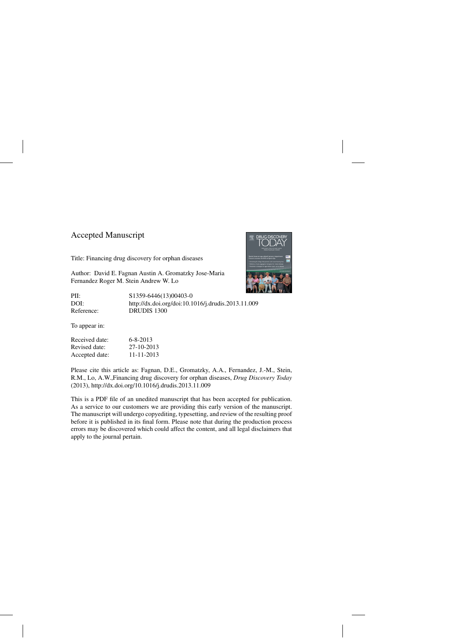## Accepted Manuscript

Title: Financing drug discovery for orphan diseases

Author: David E. Fagnan Austin A. Gromatzky Jose-Maria Fernandez Roger M. Stein Andrew W. Lo



PII: S1359-6446(13)00403-0 DOI:<http://dx.doi.org/doi:10.1016/j.drudis.2013.11.009> Reference: DRUDIS 1300

To appear in:

| Received date: | $6 - 8 - 2013$ |
|----------------|----------------|
| Revised date:  | 27-10-2013     |
| Accepted date: | 11-11-2013     |

Please cite this article as: Fagnan, D.E., Gromatzky, A.A., Fernandez, J.-M., Stein, R.M., Lo, A.W.,Financing drug discovery for orphan diseases, *Drug Discovery Today* (2013),<http://dx.doi.org/10.1016/j.drudis.2013.11.009>

This is a PDF file of an unedited manuscript that has been accepted for publication. As a service to our customers we are providing this early version of the manuscript. The manuscript will undergo copyediting, typesetting, and review of the resulting proof before it is published in its final form. Please note that during the production process errors may be discovered which could affect the content, and all legal disclaimers that apply to the journal pertain.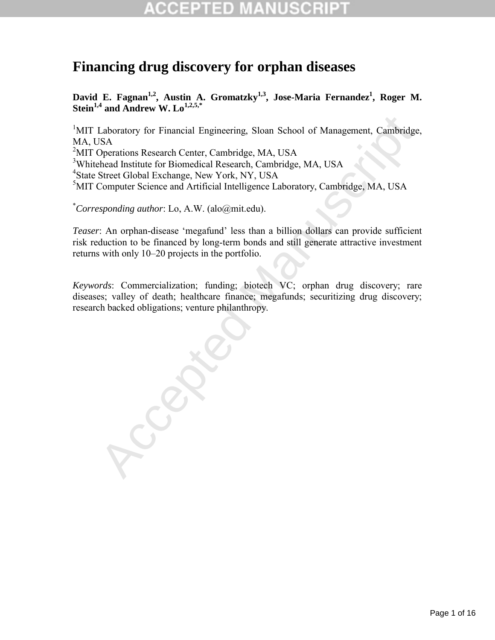# **Financing drug discovery for orphan diseases**

David E. Fagnan<sup>1,2</sup>, Austin A. Gromatzky<sup>1,3</sup>, Jose-Maria Fernandez<sup>1</sup>, Roger M. **Stein**<sup>1,4</sup> and Andrew W. Lo<sup>1,2,5,\*</sup>

I aboratory for Financial Engineering, Sloan School of Management, Cambridge JSA<br>
JSA<br>
Diperations Research Center, Cambridge, MA, USA<br>
Sheret Global Exchange, New York, NY, USA<br>
Street Global Exchange, New York, NY, USA<br> <sup>1</sup>MIT Laboratory for Financial Engineering, Sloan School of Management, Cambridge, MA, USA <sup>2</sup>MIT Operations Research Center, Cambridge, MA, USA <sup>3</sup>Whitehead Institute for Biomedical Research, Cambridge, MA, USA <sup>4</sup>State Street Global Exchange, New York, NY, USA 5 MIT Computer Science and Artificial Intelligence Laboratory, Cambridge, MA, USA

\* *Corresponding author*: Lo, A.W. (alo@mit.edu).

*Teaser*: An orphan-disease 'megafund' less than a billion dollars can provide sufficient risk reduction to be financed by long-term bonds and still generate attractive investment returns with only 10–20 projects in the portfolio.

*Keywords*: Commercialization; funding; biotech VC; orphan drug discovery; rare diseases; valley of death; healthcare finance; megafunds; securitizing drug discovery; research backed obligations; venture philanthropy.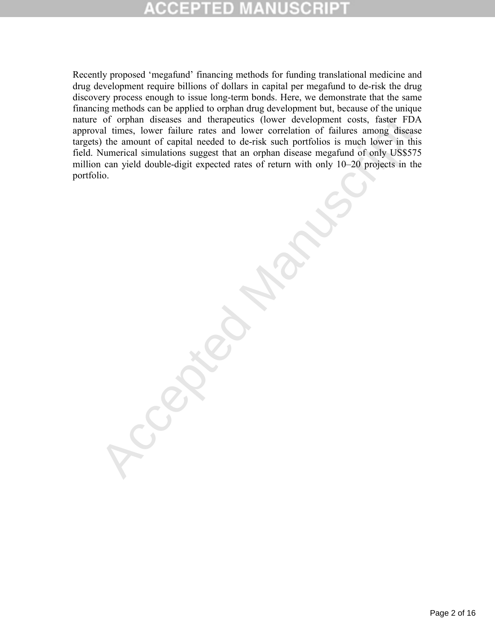of orphan diseases and therapeuties (lower development costs, faster FDA<br>al times, lower failure rates and lower correlation of failures among diseases<br>() the amount of capital necded to de-risk such portfolios is much low Recently proposed 'megafund' financing methods for funding translational medicine and drug development require billions of dollars in capital per megafund to de-risk the drug discovery process enough to issue long-term bonds. Here, we demonstrate that the same financing methods can be applied to orphan drug development but, because of the unique nature of orphan diseases and therapeutics (lower development costs, faster FDA approval times, lower failure rates and lower correlation of failures among disease targets) the amount of capital needed to de-risk such portfolios is much lower in this field. Numerical simulations suggest that an orphan disease megafund of only US\$575 million can yield double-digit expected rates of return with only 10–20 projects in the portfolio.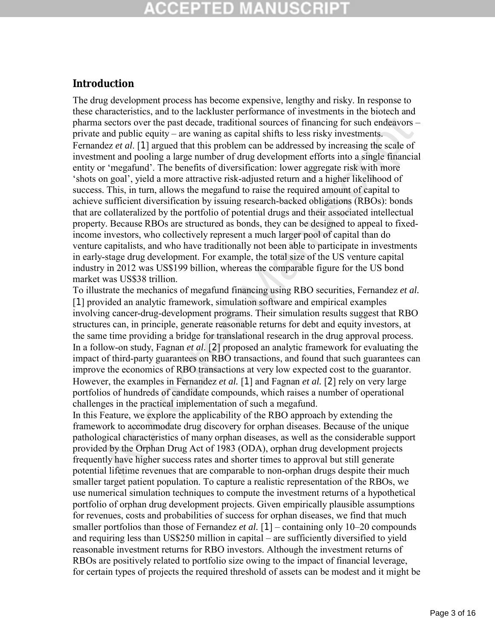## **CCEPTED MAN**

### **Introduction**

and public equity – are waring as equidal shifts to less risky investments are a sectors over the past decade, traditional sources of financing for such endeavors<br>a sectors over the past decade, traditional sources of fin The drug development process has become expensive, lengthy and risky. In response to these characteristics, and to the lackluster performance of investments in the biotech and pharma sectors over the past decade, traditional sources of financing for such endeavors – private and public equity – are waning as capital shifts to less risky investments. Fernandez *et al*. [1] argued that this problem can be addressed by increasing the scale of investment and pooling a large number of drug development efforts into a single financial entity or 'megafund'. The benefits of diversification: lower aggregate risk with more 'shots on goal', yield a more attractive risk-adjusted return and a higher likelihood of success. This, in turn, allows the megafund to raise the required amount of capital to achieve sufficient diversification by issuing research-backed obligations (RBOs): bonds that are collateralized by the portfolio of potential drugs and their associated intellectual property. Because RBOs are structured as bonds, they can be designed to appeal to fixedincome investors, who collectively represent a much larger pool of capital than do venture capitalists, and who have traditionally not been able to participate in investments in early-stage drug development. For example, the total size of the US venture capital industry in 2012 was US\$199 billion, whereas the comparable figure for the US bond market was US\$38 trillion.

To illustrate the mechanics of megafund financing using RBO securities, Fernandez *et al.*  [1] provided an analytic framework, simulation software and empirical examples involving cancer-drug-development programs. Their simulation results suggest that RBO structures can, in principle, generate reasonable returns for debt and equity investors, at the same time providing a bridge for translational research in the drug approval process. In a follow-on study, Fagnan *et al.* [2] proposed an analytic framework for evaluating the impact of third-party guarantees on RBO transactions, and found that such guarantees can improve the economics of RBO transactions at very low expected cost to the guarantor. However, the examples in Fernandez *et al.* [1] and Fagnan *et al.* [2] rely on very large portfolios of hundreds of candidate compounds, which raises a number of operational challenges in the practical implementation of such a megafund.

In this Feature, we explore the applicability of the RBO approach by extending the framework to accommodate drug discovery for orphan diseases. Because of the unique pathological characteristics of many orphan diseases, as well as the considerable support provided by the Orphan Drug Act of 1983 (ODA), orphan drug development projects frequently have higher success rates and shorter times to approval but still generate potential lifetime revenues that are comparable to non-orphan drugs despite their much smaller target patient population. To capture a realistic representation of the RBOs, we use numerical simulation techniques to compute the investment returns of a hypothetical portfolio of orphan drug development projects. Given empirically plausible assumptions for revenues, costs and probabilities of success for orphan diseases, we find that much smaller portfolios than those of Fernandez *et al.* [1] – containing only 10–20 compounds and requiring less than US\$250 million in capital – are sufficiently diversified to yield reasonable investment returns for RBO investors. Although the investment returns of RBOs are positively related to portfolio size owing to the impact of financial leverage, for certain types of projects the required threshold of assets can be modest and it might be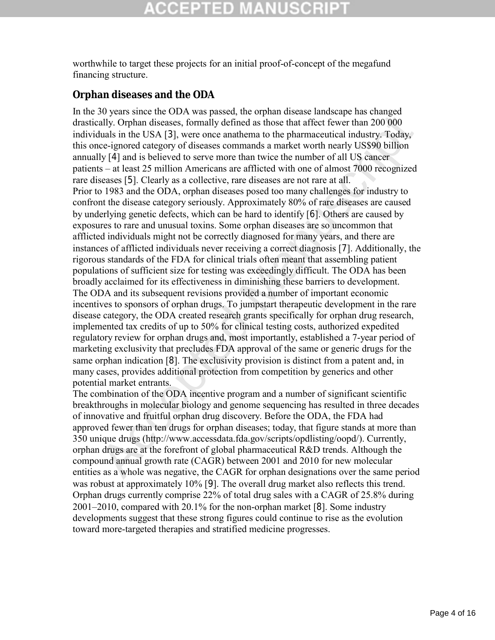worthwhile to target these projects for an initial proof-of-concept of the megafund financing structure.

### **Orphan diseases and the ODA**

of your some of original at the sphoot and the members and a multiple dinate and in the USA [3], we concerned the pharmaceutical industry. Today is the USA [3], were one can there are the memoritor and the pharmaceutical i In the 30 years since the ODA was passed, the orphan disease landscape has changed drastically. Orphan diseases, formally defined as those that affect fewer than 200 000 individuals in the USA [3], were once anathema to the pharmaceutical industry. Today, this once-ignored category of diseases commands a market worth nearly US\$90 billion annually [4] and is believed to serve more than twice the number of all US cancer patients – at least 25 million Americans are afflicted with one of almost 7000 recognized rare diseases [5]. Clearly as a collective, rare diseases are not rare at all. Prior to 1983 and the ODA, orphan diseases posed too many challenges for industry to confront the disease category seriously. Approximately 80% of rare diseases are caused by underlying genetic defects, which can be hard to identify [6]. Others are caused by exposures to rare and unusual toxins. Some orphan diseases are so uncommon that afflicted individuals might not be correctly diagnosed for many years, and there are instances of afflicted individuals never receiving a correct diagnosis [7]. Additionally, the rigorous standards of the FDA for clinical trials often meant that assembling patient populations of sufficient size for testing was exceedingly difficult. The ODA has been broadly acclaimed for its effectiveness in diminishing these barriers to development. The ODA and its subsequent revisions provided a number of important economic incentives to sponsors of orphan drugs. To jumpstart therapeutic development in the rare disease category, the ODA created research grants specifically for orphan drug research, implemented tax credits of up to 50% for clinical testing costs, authorized expedited regulatory review for orphan drugs and, most importantly, established a 7-year period of marketing exclusivity that precludes FDA approval of the same or generic drugs for the same orphan indication [8]. The exclusivity provision is distinct from a patent and, in many cases, provides additional protection from competition by generics and other potential market entrants.

The combination of the ODA incentive program and a number of significant scientific breakthroughs in molecular biology and genome sequencing has resulted in three decades of innovative and fruitful orphan drug discovery. Before the ODA, the FDA had approved fewer than ten drugs for orphan diseases; today, that figure stands at more than 350 unique drugs (http://www.accessdata.fda.gov/scripts/opdlisting/oopd/). Currently, orphan drugs are at the forefront of global pharmaceutical R&D trends. Although the compound annual growth rate (CAGR) between 2001 and 2010 for new molecular entities as a whole was negative, the CAGR for orphan designations over the same period was robust at approximately 10% [9]. The overall drug market also reflects this trend. Orphan drugs currently comprise 22% of total drug sales with a CAGR of 25.8% during 2001–2010, compared with 20.1% for the non-orphan market [8]. Some industry developments suggest that these strong figures could continue to rise as the evolution toward more-targeted therapies and stratified medicine progresses.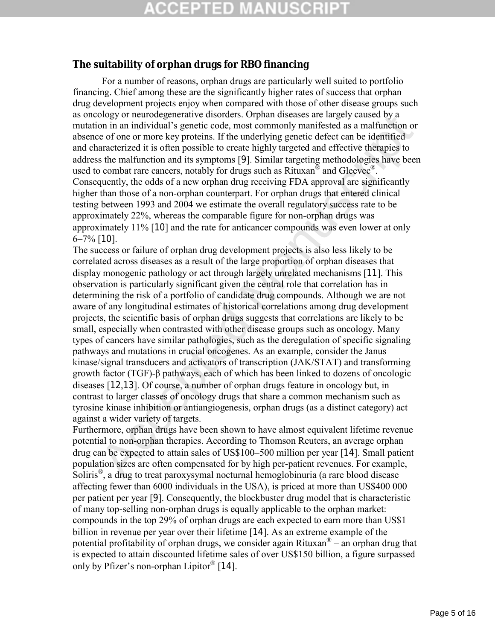### **The suitability of orphan drugs for RBO financing**

For a number of reasons, orphan drugs are particularly well suited to portfolio financing. Chief among these are the significantly higher rates of success that orphan drug development projects enjoy when compared with those of other disease groups such as oncology or neurodegenerative disorders. Orphan diseases are largely caused by a mutation in an individual's genetic code, most commonly manifested as a malfunction or absence of one or more key proteins. If the underlying genetic defect can be identified and characterized it is often possible to create highly targeted and effective therapies to address the malfunction and its symptoms [9]. Similar targeting methodologies have been used to combat rare cancers, notably for drugs such as Rituxan<sup>®</sup> and Gleevec<sup>®</sup>. Consequently, the odds of a new orphan drug receiving FDA approval are significantly higher than those of a non-orphan counterpart. For orphan drugs that entered clinical testing between 1993 and 2004 we estimate the overall regulatory success rate to be approximately 22%, whereas the comparable figure for non-orphan drugs was approximately 11% [10] and the rate for anticancer compounds was even lower at only  $6-7\%$  [10].

ology or neutrodegenerative sustores. Urphan suseasse are rargely caused by a<br>son on in an individual's genetic code, most commonly manifested as a malfunction or<br>on in an individual's genetic code, most commonly manifeste The success or failure of orphan drug development projects is also less likely to be correlated across diseases as a result of the large proportion of orphan diseases that display monogenic pathology or act through largely unrelated mechanisms [11]. This observation is particularly significant given the central role that correlation has in determining the risk of a portfolio of candidate drug compounds. Although we are not aware of any longitudinal estimates of historical correlations among drug development projects, the scientific basis of orphan drugs suggests that correlations are likely to be small, especially when contrasted with other disease groups such as oncology. Many types of cancers have similar pathologies, such as the deregulation of specific signaling pathways and mutations in crucial oncogenes. As an example, consider the Janus kinase/signal transducers and activators of transcription (JAK/STAT) and transforming growth factor (TGF)-β pathways, each of which has been linked to dozens of oncologic diseases [12,13]. Of course, a number of orphan drugs feature in oncology but, in contrast to larger classes of oncology drugs that share a common mechanism such as tyrosine kinase inhibition or antiangiogenesis, orphan drugs (as a distinct category) act against a wider variety of targets.

Furthermore, orphan drugs have been shown to have almost equivalent lifetime revenue potential to non-orphan therapies. According to Thomson Reuters, an average orphan drug can be expected to attain sales of US\$100–500 million per year [14]. Small patient population sizes are often compensated for by high per-patient revenues. For example, Soliris®, a drug to treat paroxysymal nocturnal hemoglobinuria (a rare blood disease affecting fewer than 6000 individuals in the USA), is priced at more than US\$400 000 per patient per year [9]. Consequently, the blockbuster drug model that is characteristic of many top-selling non-orphan drugs is equally applicable to the orphan market: compounds in the top 29% of orphan drugs are each expected to earn more than US\$1 billion in revenue per year over their lifetime [14]. As an extreme example of the potential profitability of orphan drugs, we consider again Rituxan<sup>®</sup> – an orphan drug that is expected to attain discounted lifetime sales of over US\$150 billion, a figure surpassed only by Pfizer's non-orphan Lipitor® [14].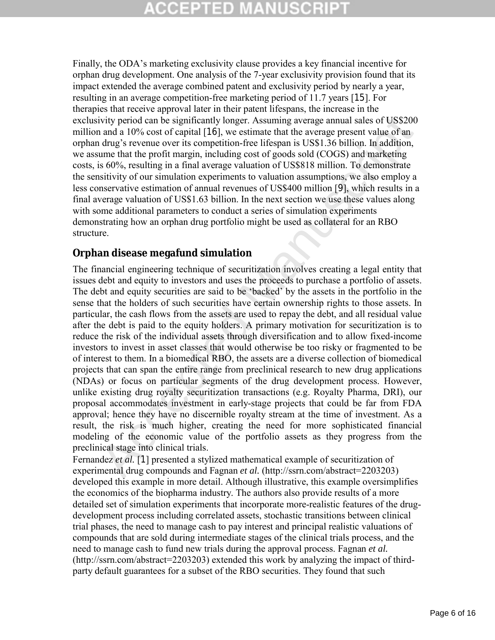# CGEPTED MA

Finally, the ODA's marketing exclusivity clause provides a key financial incentive for orphan drug development. One analysis of the 7-year exclusivity provision found that its impact extended the average combined patent and exclusivity period by nearly a year, resulting in an average competition-free marketing period of 11.7 years [15]. For therapies that receive approval later in their patent lifespans, the increase in the exclusivity period can be significantly longer. Assuming average annual sales of US\$200 million and a 10% cost of capital [16], we estimate that the average present value of an orphan drug's revenue over its competition-free lifespan is US\$1.36 billion. In addition, we assume that the profit margin, including cost of goods sold (COGS) and marketing costs, is 60%, resulting in a final average valuation of US\$818 million. To demonstrate the sensitivity of our simulation experiments to valuation assumptions, we also employ a less conservative estimation of annual revenues of US\$400 million [9], which results in a final average valuation of US\$1.63 billion. In the next section we use these values along with some additional parameters to conduct a series of simulation experiments demonstrating how an orphan drug portfolio might be used as collateral for an RBO structure.

### **Orphan disease megafund simulation**

ivity period can be significantly longer. Assuming average annual sales of US\$200<br>a ndm a 10% cost of capital [16], we estimate that the average present value of an<br>and a UP's cost of capital [16], we estimate that the av The financial engineering technique of securitization involves creating a legal entity that issues debt and equity to investors and uses the proceeds to purchase a portfolio of assets. The debt and equity securities are said to be 'backed' by the assets in the portfolio in the sense that the holders of such securities have certain ownership rights to those assets. In particular, the cash flows from the assets are used to repay the debt, and all residual value after the debt is paid to the equity holders. A primary motivation for securitization is to reduce the risk of the individual assets through diversification and to allow fixed-income investors to invest in asset classes that would otherwise be too risky or fragmented to be of interest to them. In a biomedical RBO, the assets are a diverse collection of biomedical projects that can span the entire range from preclinical research to new drug applications (NDAs) or focus on particular segments of the drug development process. However, unlike existing drug royalty securitization transactions (e.g. Royalty Pharma, DRI), our proposal accommodates investment in early-stage projects that could be far from FDA approval; hence they have no discernible royalty stream at the time of investment. As a result, the risk is much higher, creating the need for more sophisticated financial modeling of the economic value of the portfolio assets as they progress from the preclinical stage into clinical trials.

Fernandez *et al.* [1] presented a stylized mathematical example of securitization of experimental drug compounds and Fagnan *et al.* (http://ssrn.com/abstract=2203203) developed this example in more detail. Although illustrative, this example oversimplifies the economics of the biopharma industry. The authors also provide results of a more detailed set of simulation experiments that incorporate more-realistic features of the drugdevelopment process including correlated assets, stochastic transitions between clinical trial phases, the need to manage cash to pay interest and principal realistic valuations of compounds that are sold during intermediate stages of the clinical trials process, and the need to manage cash to fund new trials during the approval process. Fagnan *et al.*  (http://ssrn.com/abstract=2203203) extended this work by analyzing the impact of thirdparty default guarantees for a subset of the RBO securities. They found that such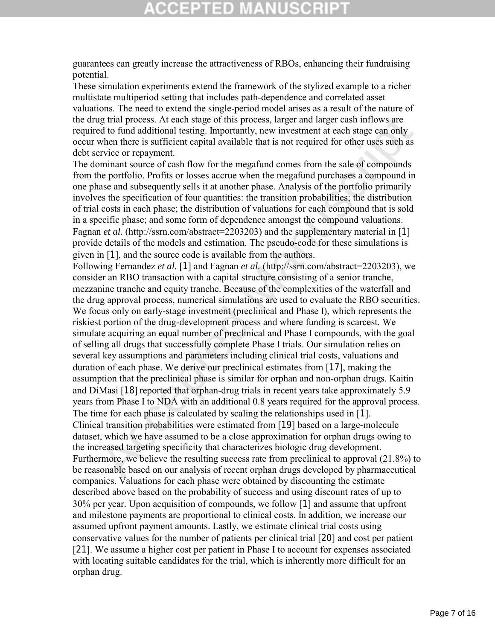## **CCEPTED MANU:**

guarantees can greatly increase the attractiveness of RBOs, enhancing their fundraising potential.

These simulation experiments extend the framework of the stylized example to a richer multistate multiperiod setting that includes path-dependence and correlated asset valuations. The need to extend the single-period model arises as a result of the nature of the drug trial process. At each stage of this process, larger and larger cash inflows are required to fund additional testing. Importantly, new investment at each stage can only occur when there is sufficient capital available that is not required for other uses such as debt service or repayment.

The dominant source of cash flow for the megafund comes from the sale of compounds from the portfolio. Profits or losses accrue when the megafund purchases a compound in one phase and subsequently sells it at another phase. Analysis of the portfolio primarily involves the specification of four quantities: the transition probabilities; the distribution of trial costs in each phase; the distribution of valuations for each compound that is sold in a specific phase; and some form of dependence amongst the compound valuations. Fagnan *et al.* (http://ssrn.com/abstract=2203203) and the supplementary material in [1] provide details of the models and estimation. The pseudo-code for these simulations is given in [1], and the source code is available from the authors.

g trial process. At each stage of this process, larger and larger cash inflows are<br>dot o fund additional etsting. Importantly, new investment at each stage can only<br>when there is sufficient equital available that is not re Following Fernandez *et al.* [1] and Fagnan *et al.* (http://ssrn.com/abstract=2203203), we consider an RBO transaction with a capital structure consisting of a senior tranche, mezzanine tranche and equity tranche. Because of the complexities of the waterfall and the drug approval process, numerical simulations are used to evaluate the RBO securities. We focus only on early-stage investment (preclinical and Phase I), which represents the riskiest portion of the drug-development process and where funding is scarcest. We simulate acquiring an equal number of preclinical and Phase I compounds, with the goal of selling all drugs that successfully complete Phase I trials. Our simulation relies on several key assumptions and parameters including clinical trial costs, valuations and duration of each phase. We derive our preclinical estimates from [17], making the assumption that the preclinical phase is similar for orphan and non-orphan drugs. Kaitin and DiMasi [18] reported that orphan-drug trials in recent years take approximately 5.9 years from Phase I to NDA with an additional 0.8 years required for the approval process. The time for each phase is calculated by scaling the relationships used in [1]. Clinical transition probabilities were estimated from [19] based on a large-molecule dataset, which we have assumed to be a close approximation for orphan drugs owing to the increased targeting specificity that characterizes biologic drug development. Furthermore, we believe the resulting success rate from preclinical to approval (21.8%) to be reasonable based on our analysis of recent orphan drugs developed by pharmaceutical companies. Valuations for each phase were obtained by discounting the estimate described above based on the probability of success and using discount rates of up to 30% per year. Upon acquisition of compounds, we follow [1] and assume that upfront and milestone payments are proportional to clinical costs. In addition, we increase our assumed upfront payment amounts. Lastly, we estimate clinical trial costs using conservative values for the number of patients per clinical trial [20] and cost per patient [21]. We assume a higher cost per patient in Phase I to account for expenses associated with locating suitable candidates for the trial, which is inherently more difficult for an orphan drug.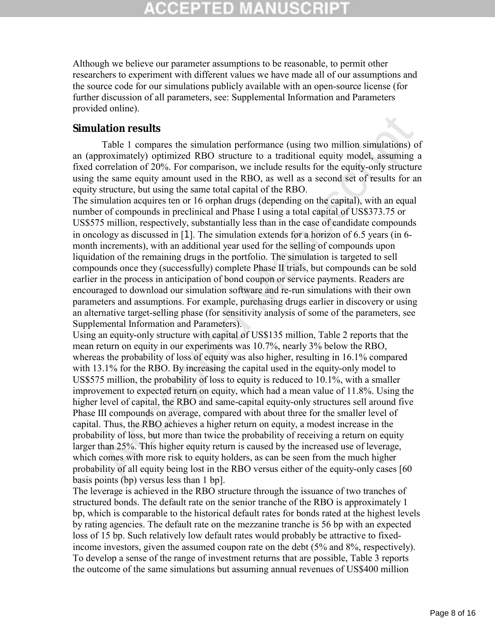## CGEPTED MA

Although we believe our parameter assumptions to be reasonable, to permit other researchers to experiment with different values we have made all of our assumptions and the source code for our simulations publicly available with an open-source license (for further discussion of all parameters, see: Supplemental Information and Parameters provided online).

#### **Simulation results**

Table 1 compares the simulation performance (using two million simulations) of an (approximately) optimized RBO structure to a traditional equity model, assuming a fixed correlation of 20%. For comparison, we include results for the equity-only structure using the same equity amount used in the RBO, as well as a second set of results for an equity structure, but using the same total capital of the RBO.

The simulation acquires ten or 16 orphan drugs (depending on the capital), with an equal number of compounds in preclinical and Phase I using a total capital of US\$373.75 or US\$575 million, respectively, substantially less than in the case of candidate compounds in oncology as discussed in [1]. The simulation extends for a horizon of 6.5 years (in 6 month increments), with an additional year used for the selling of compounds upon liquidation of the remaining drugs in the portfolio. The simulation is targeted to sell compounds once they (successfully) complete Phase II trials, but compounds can be sold earlier in the process in anticipation of bond coupon or service payments. Readers are encouraged to download our simulation software and re-run simulations with their own parameters and assumptions. For example, purchasing drugs earlier in discovery or using an alternative target-selling phase (for sensitivity analysis of some of the parameters, see Supplemental Information and Parameters).

lation results<br>Table 1 compares the simulation performance (using two million simulations) o<br>proximately) optimized RBO structure to a traditional equity model, assuming a<br>coror-lation of 20%. For comparison, we include r Using an equity-only structure with capital of US\$135 million, Table 2 reports that the mean return on equity in our experiments was 10.7%, nearly 3% below the RBO, whereas the probability of loss of equity was also higher, resulting in 16.1% compared with 13.1% for the RBO. By increasing the capital used in the equity-only model to US\$575 million, the probability of loss to equity is reduced to 10.1%, with a smaller improvement to expected return on equity, which had a mean value of 11.8%. Using the higher level of capital, the RBO and same-capital equity-only structures sell around five Phase III compounds on average, compared with about three for the smaller level of capital. Thus, the RBO achieves a higher return on equity, a modest increase in the probability of loss, but more than twice the probability of receiving a return on equity larger than 25%. This higher equity return is caused by the increased use of leverage, which comes with more risk to equity holders, as can be seen from the much higher probability of all equity being lost in the RBO versus either of the equity-only cases [60 basis points (bp) versus less than 1 bp].

The leverage is achieved in the RBO structure through the issuance of two tranches of structured bonds. The default rate on the senior tranche of the RBO is approximately 1 bp, which is comparable to the historical default rates for bonds rated at the highest levels by rating agencies. The default rate on the mezzanine tranche is 56 bp with an expected loss of 15 bp. Such relatively low default rates would probably be attractive to fixedincome investors, given the assumed coupon rate on the debt (5% and 8%, respectively). To develop a sense of the range of investment returns that are possible, Table 3 reports the outcome of the same simulations but assuming annual revenues of US\$400 million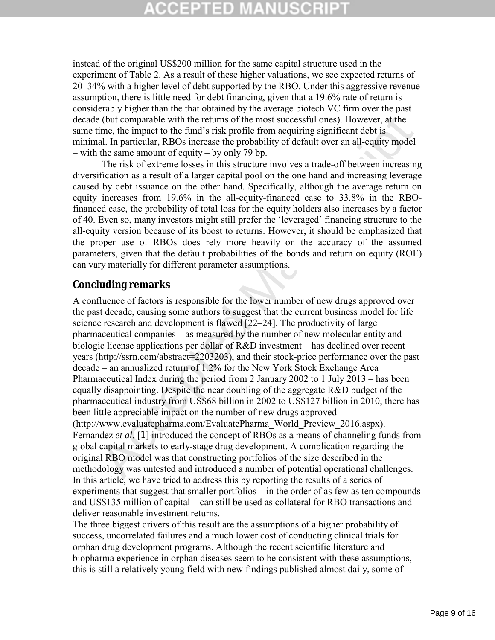## **CCEPTED MANUSCR**

instead of the original US\$200 million for the same capital structure used in the experiment of Table 2. As a result of these higher valuations, we see expected returns of 20–34% with a higher level of debt supported by the RBO. Under this aggressive revenue assumption, there is little need for debt financing, given that a 19.6% rate of return is considerably higher than the that obtained by the average biotech VC firm over the past decade (but comparable with the returns of the most successful ones). However, at the same time, the impact to the fund's risk profile from acquiring significant debt is minimal. In particular, RBOs increase the probability of default over an all-equity model – with the same amount of equity – by only 79 bp.

The risk of extreme losses in this structure involves a trade-off between increasing diversification as a result of a larger capital pool on the one hand and increasing leverage caused by debt issuance on the other hand. Specifically, although the average return on equity increases from 19.6% in the all-equity-financed case to 33.8% in the RBOfinanced case, the probability of total loss for the equity holders also increases by a factor of 40. Even so, many investors might still prefer the 'leveraged' financing structure to the all-equity version because of its boost to returns. However, it should be emphasized that the proper use of RBOs does rely more heavily on the accuracy of the assumed parameters, given that the default probabilities of the bonds and return on equity (ROE) can vary materially for different parameter assumptions.

#### **Concluding remarks**

2 (but comparable with the returns of the most successful ones). However, at the lime, the ime, the ime, the ime is risk profile from acquiring significant debt is a lall, n particular, RBOs increase the probability of de A confluence of factors is responsible for the lower number of new drugs approved over the past decade, causing some authors to suggest that the current business model for life science research and development is flawed [22–24]. The productivity of large pharmaceutical companies – as measured by the number of new molecular entity and biologic license applications per dollar of R&D investment – has declined over recent years (http://ssrn.com/abstract=2203203), and their stock-price performance over the past decade – an annualized return of 1.2% for the New York Stock Exchange Arca Pharmaceutical Index during the period from 2 January 2002 to 1 July 2013 – has been equally disappointing. Despite the near doubling of the aggregate R&D budget of the pharmaceutical industry from US\$68 billion in 2002 to US\$127 billion in 2010, there has been little appreciable impact on the number of new drugs approved (http://www.evaluatepharma.com/EvaluatePharma\_World\_Preview\_2016.aspx). Fernandez *et al.* [1] introduced the concept of RBOs as a means of channeling funds from global capital markets to early-stage drug development. A complication regarding the original RBO model was that constructing portfolios of the size described in the methodology was untested and introduced a number of potential operational challenges. In this article, we have tried to address this by reporting the results of a series of experiments that suggest that smaller portfolios – in the order of as few as ten compounds and US\$135 million of capital – can still be used as collateral for RBO transactions and deliver reasonable investment returns.

The three biggest drivers of this result are the assumptions of a higher probability of success, uncorrelated failures and a much lower cost of conducting clinical trials for orphan drug development programs. Although the recent scientific literature and biopharma experience in orphan diseases seem to be consistent with these assumptions, this is still a relatively young field with new findings published almost daily, some of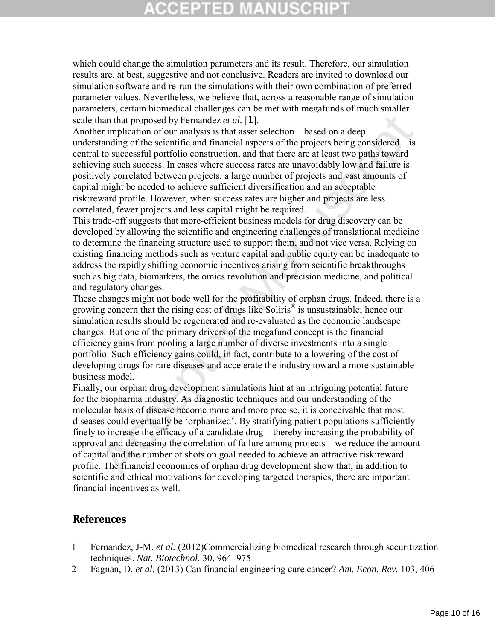## CCEPTED MA

which could change the simulation parameters and its result. Therefore, our simulation results are, at best, suggestive and not conclusive. Readers are invited to download our simulation software and re-run the simulations with their own combination of preferred parameter values. Nevertheless, we believe that, across a reasonable range of simulation parameters, certain biomedical challenges can be met with megafunds of much smaller scale than that proposed by Fernandez *et al.* [1].

Another implication of our analysis is that asset selection – based on a deep understanding of the scientific and financial aspects of the projects being considered – is central to successful portfolio construction, and that there are at least two paths toward achieving such success. In cases where success rates are unavoidably low and failure is positively correlated between projects, a large number of projects and vast amounts of capital might be needed to achieve sufficient diversification and an acceptable risk:reward profile. However, when success rates are higher and projects are less correlated, fewer projects and less capital might be required.

This trade-off suggests that more-efficient business models for drug discovery can be developed by allowing the scientific and engineering challenges of translational medicine to determine the financing structure used to support them, and not vice versa. Relying on existing financing methods such as venture capital and public equity can be inadequate to address the rapidly shifting economic incentives arising from scientific breakthroughs such as big data, biomarkers, the omics revolution and precision medicine, and political and regulatory changes.

These changes might not bode well for the profitability of orphan drugs. Indeed, there is a growing concern that the rising cost of drugs like Soliris® is unsustainable; hence our simulation results should be regenerated and re-evaluated as the economic landscape changes. But one of the primary drivers of the megafund concept is the financial efficiency gains from pooling a large number of diverse investments into a single portfolio. Such efficiency gains could, in fact, contribute to a lowering of the cost of developing drugs for rare diseases and accelerate the industry toward a more sustainable business model.

han that proposed by Fernandez *et al.* [1].<br>
than that proposed by Fernandez *et al.* [1],<br>
it that asset selection – based on a deep<br>
crimplication of our analysis is that asset selection – based on a deep<br>
to successfu Finally, our orphan drug development simulations hint at an intriguing potential future for the biopharma industry. As diagnostic techniques and our understanding of the molecular basis of disease become more and more precise, it is conceivable that most diseases could eventually be 'orphanized'. By stratifying patient populations sufficiently finely to increase the efficacy of a candidate drug – thereby increasing the probability of approval and decreasing the correlation of failure among projects – we reduce the amount of capital and the number of shots on goal needed to achieve an attractive risk:reward profile. The financial economics of orphan drug development show that, in addition to scientific and ethical motivations for developing targeted therapies, there are important financial incentives as well.

#### **References**

- 1 Fernandez, J-M. *et al.* (2012)Commercializing biomedical research through securitization techniques. *Nat. Biotechnol.* 30, 964–975
- 2 Fagnan, D. *et al.* (2013) Can financial engineering cure cancer? *Am. Econ. Rev.* 103, 406–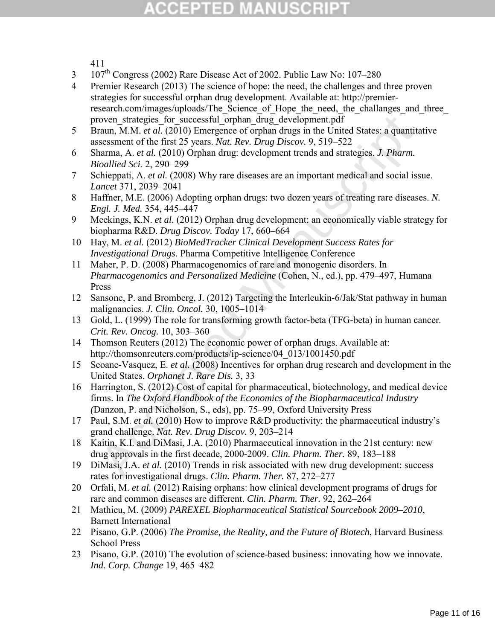## CCEPTED MANUSCR

411

- 3 107<sup>th</sup> Congress (2002) Rare Disease Act of 2002. Public Law No: 107–280
- 4 Premier Research (2013) The science of hope: the need, the challenges and three proven strategies for successful orphan drug development. Available at: http://premierresearch.com/images/uploads/The Science of Hope the need, the challanges and three proven strategies for successful orphan drug development.pdf
- 5 Braun, M.M. *et al.* (2010) Emergence of orphan drugs in the United States: a quantitative assessment of the first 25 years. *Nat. Rev. Drug Discov.* 9, 519–522
- 6 Sharma, A. *et al.* (2010) Orphan drug: development trends and strategies. *J. Pharm. Bioallied Sci.* 2, 290–299
- 7 Schieppati, A. *et al.* (2008) Why rare diseases are an important medical and social issue. *Lancet* 371, 2039–2041
- 8 Haffner, M.E. (2006) Adopting orphan drugs: two dozen years of treating rare diseases. *N. Engl. J. Med.* 354, 445–447
- 9 Meekings, K.N. *et al.* (2012) Orphan drug development: an economically viable strategy for biopharma R&D. *Drug Discov. Today* 17, 660–664
- 10 Hay, M. *et al.* (2012) *BioMedTracker Clinical Development Success Rates for Investigational Drugs*. Pharma Competitive Intelligence Conference
- rown, strategies for successful orphan drug development.pdf<br>rata, M.M. et al. (2010) Energenee of orphan drugs in the United States: a quantitions, sesument of the first 25 years. Nat. Rev. Drng Discov. 9, 519–522<br>ioallied 11 Maher, P. D. (2008) Pharmacogenomics of rare and monogenic disorders. In *Pharmacogenomics and Personalized Medicine* (Cohen, N., ed.), pp. 479–497, Humana Press
- 12 Sansone, P. and Bromberg, J. (2012) Targeting the Interleukin-6/Jak/Stat pathway in human malignancies. *J. Clin. Oncol.* 30, 1005–1014
- 13 Gold, L. (1999) The role for transforming growth factor-beta (TFG-beta) in human cancer. *Crit. Rev. Oncog.* 10, 303–360
- 14 Thomson Reuters (2012) The economic power of orphan drugs. Available at: http://thomsonreuters.com/products/ip-science/04\_013/1001450.pdf
- 15 Seoane-Vasquez, E. *et al.* (2008) Incentives for orphan drug research and development in the United States. *Orphanet J. Rare Dis.* 3, 33
- 16 Harrington, S. (2012) Cost of capital for pharmaceutical, biotechnology, and medical device firms. In *The Oxford Handbook of the Economics of the Biopharmaceutical Industry (*Danzon, P. and Nicholson, S., eds), pp. 75–99, Oxford University Press
- 17 Paul, S.M. *et al.* (2010) How to improve R&D productivity: the pharmaceutical industry's grand challenge. *Nat. Rev. Drug Discov.* 9, 203–214
- 18 Kaitin, K.I. and DiMasi, J.A. (2010) Pharmaceutical innovation in the 21st century: new drug approvals in the first decade, 2000-2009. *Clin. Pharm. Ther.* 89, 183–188
- 19 DiMasi, J.A. *et al.* (2010) Trends in risk associated with new drug development: success rates for investigational drugs. *Clin. Pharm. Ther.* 87, 272–277
- 20 Orfali, M. *et al.* (2012) Raising orphans: how clinical development programs of drugs for rare and common diseases are different. *Clin. Pharm. Ther.* 92, 262–264
- 21 Mathieu, M. (2009) *PAREXEL Biopharmaceutical Statistical Sourcebook 2009*–*2010*, Barnett International
- 22 Pisano, G.P. (2006) *The Promise, the Reality, and the Future of Biotech*, Harvard Business School Press
- 23 Pisano, G.P. (2010) The evolution of science-based business: innovating how we innovate. *Ind. Corp. Change* 19, 465–482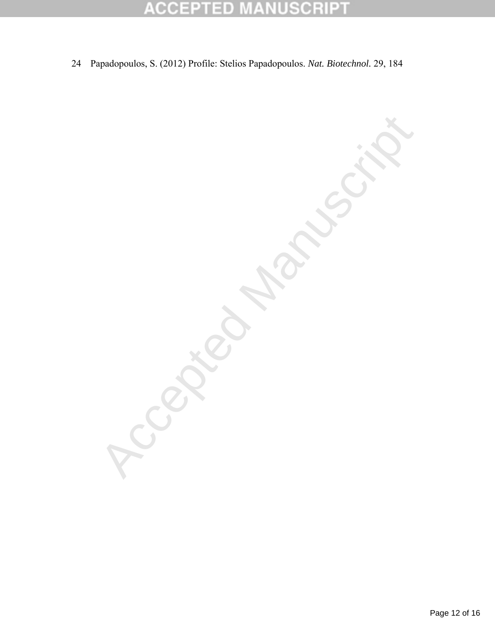#### ${\mathsf C} {\mathsf R}$ B CCE  $\overline{\phantom{a}}$  $\qquad \qquad \blacksquare$ D

24 Papadopoulos, S. (2012) Profile: Stelios Papadopoulos. *Nat. Biotechnol.* 29, 184

Accepted Manuscript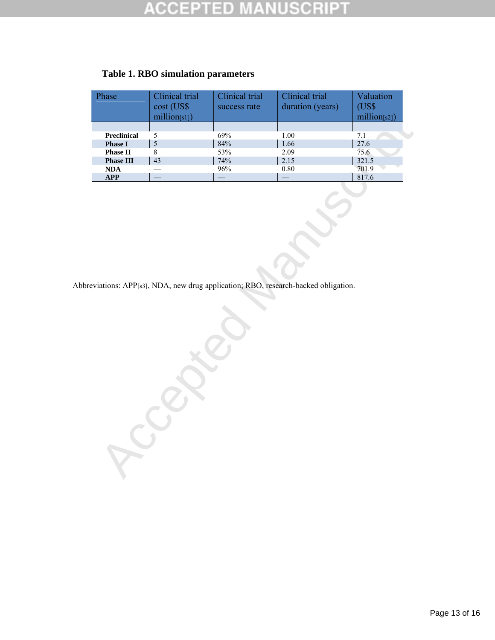#### CRIP D

| Phase              | Clinical trial<br>cost (US\$<br>million[s1]) | Clinical trial<br>success rate | Clinical trial<br>duration (years) | Valuation<br>(US\$<br>million[s2]) |
|--------------------|----------------------------------------------|--------------------------------|------------------------------------|------------------------------------|
| <b>Preclinical</b> |                                              | 69%                            | 1.00                               | 7.1                                |
| <b>Phase I</b>     |                                              | 84%                            | 1.66                               | 27.6                               |
| <b>Phase II</b>    |                                              | 53%                            | 2.09                               | 75.6                               |
| <b>Phase III</b>   | 43                                           | 74%                            | 2.15                               | 321.5                              |
| <b>NDA</b>         |                                              | 96%                            | 0.80                               | 701.9                              |
| <b>APP</b>         |                                              |                                |                                    | 817.6                              |

#### **Table 1. RBO simulation parameters**

Abbreviations: APP[s3], NDA, new drug application; RBO, research-backed obligation.

**Accepted**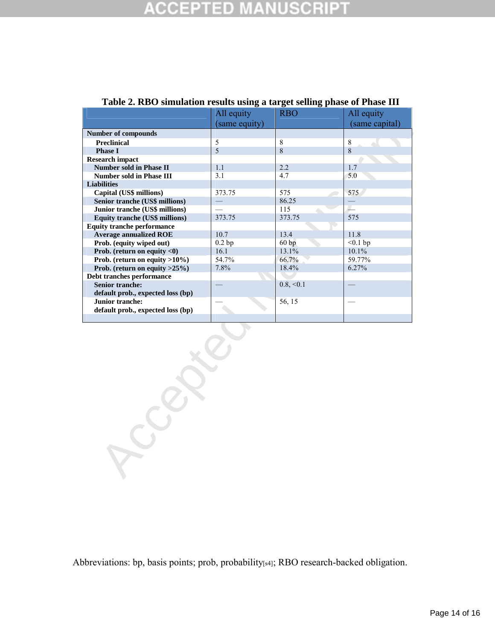|                                   | All equity     | <b>RBO</b> | All equity     |  |
|-----------------------------------|----------------|------------|----------------|--|
|                                   | (same equity)  |            | (same capital) |  |
| <b>Number of compounds</b>        |                |            |                |  |
| <b>Preclinical</b>                | $\overline{5}$ | 8          | $\,8\,$        |  |
| <b>Phase I</b>                    | 5              | 8          | 8              |  |
| Research impact                   |                |            |                |  |
| <b>Number sold in Phase II</b>    | 1.1            | 2.2        | 1.7            |  |
| <b>Number sold in Phase III</b>   | 3.1            | 4.7        | 5.0            |  |
| <b>Liabilities</b>                |                |            |                |  |
| Capital (US\$ millions)           | 373.75         | 575        | 575            |  |
| Senior tranche (US\$ millions)    |                | 86.25      |                |  |
| Junior tranche (US\$ millions)    |                | 115        | $\mathcal{L}$  |  |
| Equity tranche (US\$ millions)    | 373.75         | 373.75     | 575            |  |
| <b>Equity tranche performance</b> |                |            |                |  |
| <b>Average annualized ROE</b>     | 10.7           | 13.4       | 11.8           |  |
| Prob. (equity wiped out)          | 0.2bp          | 60bp       | $<0.1$ bp      |  |
| Prob. (return on equity <0)       | 16.1           | 13.1%      | 10.1%          |  |
| Prob. (return on equity >10%)     | 54.7%          | 66.7%      | 59.77%         |  |
| Prob. (return on equity >25%)     | 7.8%           | 18.4%      | 6.27%          |  |
| Debt tranches performance         |                |            |                |  |
| <b>Senior tranche:</b>            |                | 0.8, < 0.1 | $\equiv$       |  |
| default prob., expected loss (bp) |                |            |                |  |
| Junior tranche:                   |                | 56, 15     |                |  |
|                                   |                |            |                |  |
| default prob., expected loss (bp) |                |            |                |  |

#### **Table 2. RBO simulation results using a target selling phase of Phase III**

Abbreviations: bp, basis points; prob, probability[s4]; RBO research-backed obligation.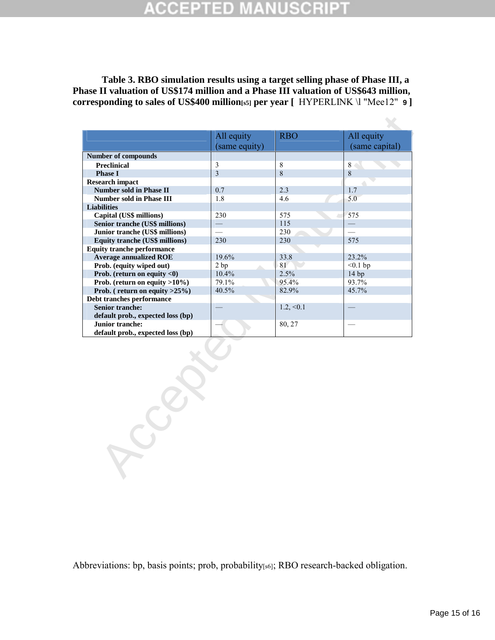## ED.

**Table 3. RBO simulation results using a target selling phase of Phase III, a Phase II valuation of US\$174 million and a Phase III valuation of US\$643 million, corresponding to sales of US\$400 million[s5] per year [** HYPERLINK \l "Mee12" **9 ]**

|                                       | All equity     | <b>RBO</b>     | All equity     |
|---------------------------------------|----------------|----------------|----------------|
|                                       | (same equity)  |                | (same capital) |
| <b>Number of compounds</b>            |                |                |                |
| <b>Preclinical</b>                    | $\mathfrak{Z}$ | 8              | 8              |
| <b>Phase I</b>                        | $\overline{3}$ | $\overline{8}$ | 8              |
| <b>Research impact</b>                |                |                |                |
| <b>Number sold in Phase II</b>        | 0.7            | 2.3            | 1.7            |
| <b>Number sold in Phase III</b>       | 1.8            | 4.6            | 5.0            |
| <b>Liabilities</b>                    |                |                |                |
| Capital (US\$ millions)               | 230            | 575            | 575            |
| Senior tranche (US\$ millions)        |                | 115            |                |
| Junior tranche (US\$ millions)        | $\equiv$       | 230            |                |
| <b>Equity tranche (US\$ millions)</b> | 230            | 230            | 575            |
| <b>Equity tranche performance</b>     |                |                |                |
| <b>Average annualized ROE</b>         | 19.6%          | 33.8           | 23.2%          |
| Prob. (equity wiped out)              | 2bp            | 81             | $<0.1$ bp      |
| Prob. (return on equity $<$ 0)        | 10.4%          | 2.5%           | 14bp           |
| Prob. (return on equity $>10\%$ )     | 79.1%          | 95.4%          | 93.7%          |
| Prob. (return on equity $>25\%$ )     | 40.5%          | 82.9%          | 45.7%          |
| Debt tranches performance             |                |                |                |
| <b>Senior tranche:</b>                |                | $1.2, \le 0.1$ |                |
| default prob., expected loss (bp)     |                |                |                |
| Junior tranche:                       |                | 80, 27         |                |
| default prob., expected loss (bp)     |                |                |                |
|                                       |                |                |                |

Abbreviations: bp, basis points; prob, probability[s6]; RBO research-backed obligation.